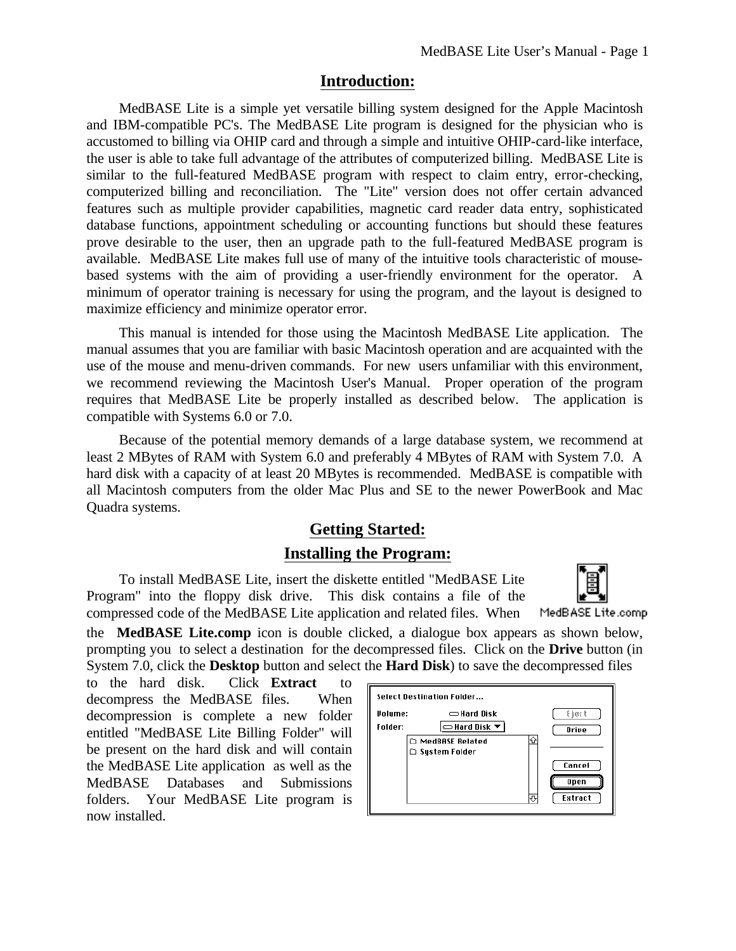## **Introduction:**

MedBASE Lite is a simple yet versatile billing system designed for the Apple Macintosh and IBM-compatible PC's. The MedBASE Lite program is designed for the physician who is accustomed to billing via OHIP card and through a simple and intuitive OHIP-card-like interface, the user is able to take full advantage of the attributes of computerized billing. MedBASE Lite is similar to the full-featured MedBASE program with respect to claim entry, error-checking, computerized billing and reconciliation. The "Lite" version does not offer certain advanced features such as multiple provider capabilities, magnetic card reader data entry, sophisticated database functions, appointment scheduling or accounting functions but should these features prove desirable to the user, then an upgrade path to the full-featured MedBASE program is available. MedBASE Lite makes full use of many of the intuitive tools characteristic of mousebased systems with the aim of providing a user-friendly environment for the operator. A minimum of operator training is necessary for using the program, and the layout is designed to maximize efficiency and minimize operator error.

This manual is intended for those using the Macintosh MedBASE Lite application. The manual assumes that you are familiar with basic Macintosh operation and are acquainted with the use of the mouse and menu-driven commands. For new users unfamiliar with this environment, we recommend reviewing the Macintosh User's Manual. Proper operation of the program requires that MedBASE Lite be properly installed as described below. The application is compatible with Systems 6.0 or 7.0.

Because of the potential memory demands of a large database system, we recommend at least 2 MBytes of RAM with System 6.0 and preferably 4 MBytes of RAM with System 7.0. A hard disk with a capacity of at least 20 MBytes is recommended. MedBASE is compatible with all Macintosh computers from the older Mac Plus and SE to the newer PowerBook and Mac Quadra systems.

# **Getting Started:**

## **Installing the Program:**

To install MedBASE Lite, insert the diskette entitled "MedBASE Lite Program" into the floppy disk drive. This disk contains a file of the compressed code of the MedBASE Lite application and related files. When



MedBASE Lite.comp

the **MedBASE Lite.comp** icon is double clicked, a dialogue box appears as shown below, prompting you to select a destination for the decompressed files. Click on the **Drive** button (in System 7.0, click the **Desktop** button and select the **Hard Disk**) to save the decompressed files

to the hard disk. Click **Extract** to decompress the MedBASE files. When decompression is complete a new folder entitled "MedBASE Lite Billing Folder" will be present on the hard disk and will contain the MedBASE Lite application as well as the MedBASE Databases and Submissions folders. Your MedBASE Lite program is now installed.

| Select Destination Folder |                                         |             |  |  |  |  |  |  |
|---------------------------|-----------------------------------------|-------------|--|--|--|--|--|--|
| <b>Volume:</b>            | $\equiv$ Hard Disk                      | €}⊘∢ १      |  |  |  |  |  |  |
| Folder:                   | $\equiv$ Hard Disk $\blacktriangledown$ | Drive       |  |  |  |  |  |  |
|                           | ∩<br>□ MedBASE Related                  |             |  |  |  |  |  |  |
|                           | □ System Folder                         |             |  |  |  |  |  |  |
|                           |                                         | Cancel      |  |  |  |  |  |  |
|                           |                                         | <b>Open</b> |  |  |  |  |  |  |
|                           | л                                       | Extract     |  |  |  |  |  |  |
|                           |                                         |             |  |  |  |  |  |  |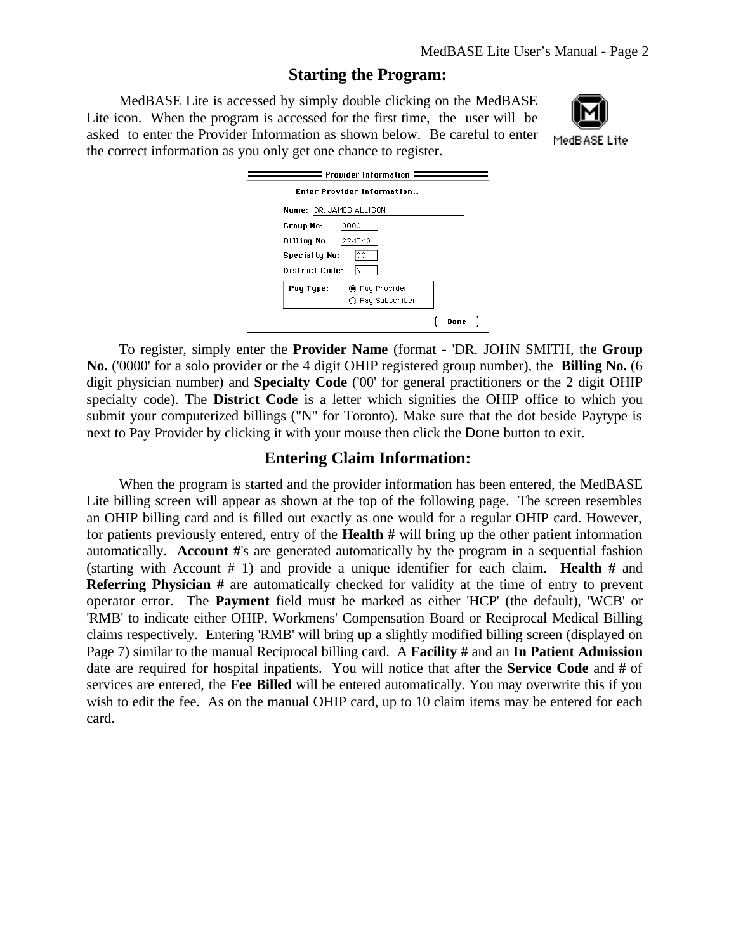## **Starting the Program:**

MedBASE Lite is accessed by simply double clicking on the MedBASE Lite icon. When the program is accessed for the first time, the user will be asked to enter the Provider Information as shown below. Be careful to enter the correct information as you only get one chance to register.



MedBASE Lite

| <b>Provider Information <math>\equiv</math></b> |  |  |  |  |  |  |  |
|-------------------------------------------------|--|--|--|--|--|--|--|
| Enter Provider Information                      |  |  |  |  |  |  |  |
| Name: DR. JAMES ALLISON                         |  |  |  |  |  |  |  |
| 10000<br>Group No:                              |  |  |  |  |  |  |  |
| 224840<br><b>Billing No:</b>                    |  |  |  |  |  |  |  |
| <b>Specialty No:</b><br>00                      |  |  |  |  |  |  |  |
| <b>District Code:</b><br>ΙN                     |  |  |  |  |  |  |  |
| Pay Type:<br>◉ Pay Provider                     |  |  |  |  |  |  |  |
| ◯ Pay Subscriber                                |  |  |  |  |  |  |  |
| Done                                            |  |  |  |  |  |  |  |

To register, simply enter the **Provider Name** (format - 'DR. JOHN SMITH, the **Group No.** ('0000' for a solo provider or the 4 digit OHIP registered group number), the **Billing No.** (6 digit physician number) and **Specialty Code** ('00' for general practitioners or the 2 digit OHIP specialty code). The **District Code** is a letter which signifies the OHIP office to which you submit your computerized billings ("N" for Toronto). Make sure that the dot beside Paytype is next to Pay Provider by clicking it with your mouse then click the Done button to exit.

## **Entering Claim Information:**

When the program is started and the provider information has been entered, the MedBASE Lite billing screen will appear as shown at the top of the following page. The screen resembles an OHIP billing card and is filled out exactly as one would for a regular OHIP card. However, for patients previously entered, entry of the **Health #** will bring up the other patient information automatically. **Account #**'s are generated automatically by the program in a sequential fashion (starting with Account # 1) and provide a unique identifier for each claim. **Health #** and **Referring Physician #** are automatically checked for validity at the time of entry to prevent operator error. The **Payment** field must be marked as either 'HCP' (the default), 'WCB' or 'RMB' to indicate either OHIP, Workmens' Compensation Board or Reciprocal Medical Billing claims respectively. Entering 'RMB' will bring up a slightly modified billing screen (displayed on Page 7) similar to the manual Reciprocal billing card. A **Facility #** and an **In Patient Admission** date are required for hospital inpatients. You will notice that after the **Service Code** and **#** of services are entered, the **Fee Billed** will be entered automatically. You may overwrite this if you wish to edit the fee. As on the manual OHIP card, up to 10 claim items may be entered for each card.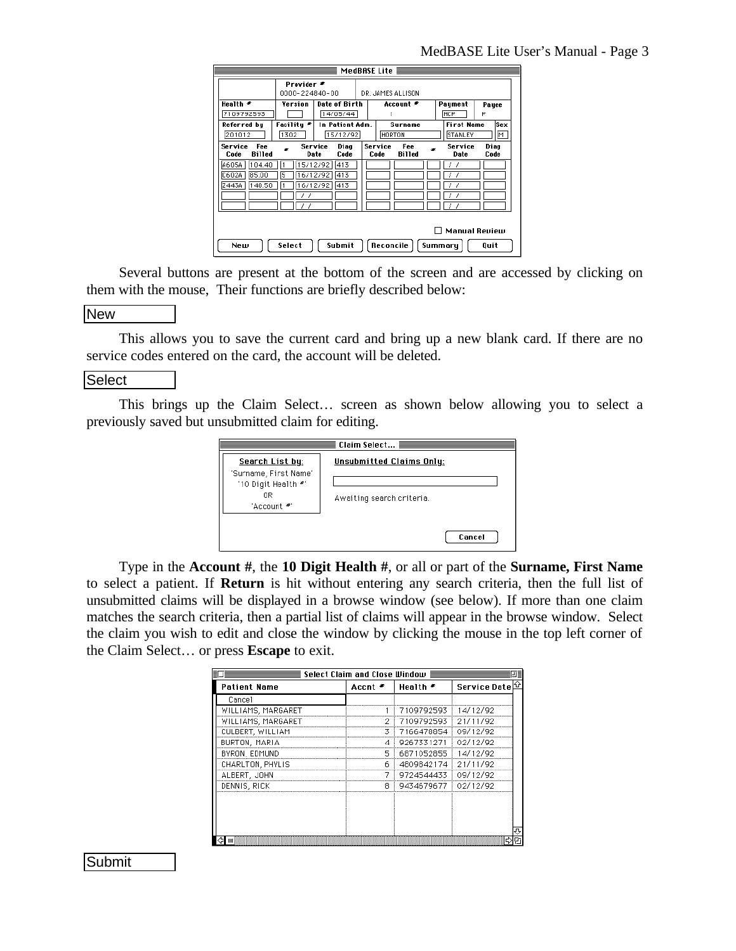|                 |                                                                                 |                                         |                                 |  | MedBASE Lite                            |  |                   |              |
|-----------------|---------------------------------------------------------------------------------|-----------------------------------------|---------------------------------|--|-----------------------------------------|--|-------------------|--------------|
|                 |                                                                                 | Provider <sup>≢</sup><br>0000-224840-00 |                                 |  | DR. JAMES ALLISON                       |  |                   |              |
|                 | Health *                                                                        | Version                                 | <b>Date of Birth</b>            |  | Account <sup>≠</sup>                    |  | Paument           | Pauee        |
|                 | 7109792593                                                                      |                                         | 14/05/44                        |  |                                         |  | HCP               | P            |
| Referred bu     |                                                                                 | Facilitu *                              | In Patient Adm.                 |  | Surname                                 |  | <b>First Name</b> | Sex          |
|                 | 201012                                                                          | 1302                                    | 15/12/92                        |  | HORTON                                  |  | STANLEY           | M            |
|                 | Service<br>Fee<br><b>Billed</b><br>Code                                         |                                         | Service<br>Diag<br>Date<br>Code |  | Service<br>Fee<br><b>Billed</b><br>Code |  | Service<br>Date   | Diag<br>Code |
|                 | A605A<br>104.40                                                                 |                                         | 15/12/92<br>413                 |  |                                         |  |                   |              |
|                 | 85.00<br>C602A                                                                  | 5                                       | 16/12/92<br> 413                |  |                                         |  |                   |              |
| 140.50<br>Z443A |                                                                                 |                                         | 16/12/92<br>1413                |  |                                         |  |                   |              |
|                 |                                                                                 |                                         |                                 |  |                                         |  |                   |              |
|                 |                                                                                 |                                         |                                 |  |                                         |  |                   |              |
|                 | <b>Manual Review</b><br>Reconcile<br>Submit<br>Select<br>Summary<br>Quit<br>Νеш |                                         |                                 |  |                                         |  |                   |              |
|                 |                                                                                 |                                         |                                 |  |                                         |  |                   |              |

Several buttons are present at the bottom of the screen and are accessed by clicking on them with the mouse, Their functions are briefly described below:

### **New**

This allows you to save the current card and bring up a new blank card. If there are no service codes entered on the card, the account will be deleted.

#### **Select**

This brings up the Claim Select… screen as shown below allowing you to select a previously saved but unsubmitted claim for editing.



Type in the **Account #**, the **10 Digit Health #**, or all or part of the **Surname, First Name** to select a patient. If **Return** is hit without entering any search criteria, then the full list of unsubmitted claims will be displayed in a browse window (see below). If more than one claim matches the search criteria, then a partial list of claims will appear in the browse window. Select the claim you wish to edit and close the window by clicking the mouse in the top left corner of the Claim Select… or press **Escape** to exit.

|                     | Select Claim and Close Window ≣ |                       |              |  |
|---------------------|---------------------------------|-----------------------|--------------|--|
| <b>Patient Name</b> | Accnt *                         | Health <sup>≠</sup>   | Service Date |  |
| Cancel              |                                 |                       |              |  |
| WILLIAMS, MARGARET  |                                 | 7109792593            | 14/12/92     |  |
| WILLIAMS, MARGARET  | 2                               | 7109792593 21/11/92   |              |  |
| CULBERT, WILLIAM    | 3                               | 7166478854            | 09/12/92     |  |
| BURTON, MARIA       | 4                               | 9267331271            | 02/12/92     |  |
| BYRON, EDMUND       | 5                               | 6871052855            | 14/12/92     |  |
| CHARLTON, PHYLIS    | 6                               | 4809842174            | 21/11/92     |  |
| ALBERT, JOHN        |                                 | 9724544433            | 09/12/92     |  |
| DENNIS, RICK        | Я                               | 9434679677   02/12/92 |              |  |
|                     |                                 |                       |              |  |
|                     |                                 |                       |              |  |
|                     |                                 |                       |              |  |
|                     |                                 |                       |              |  |
|                     |                                 |                       |              |  |

Submit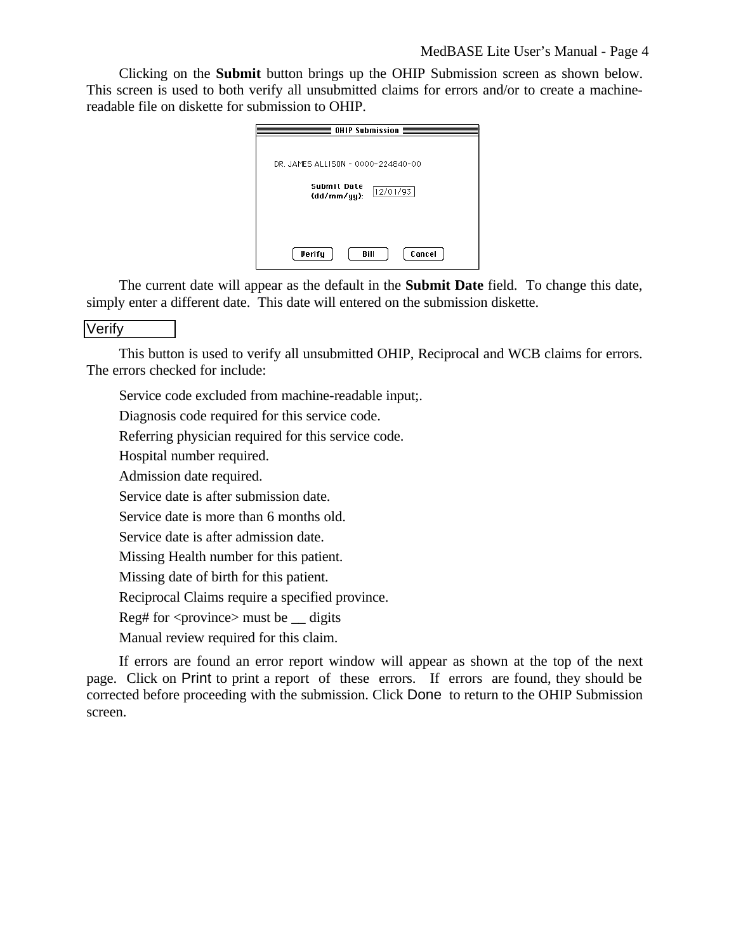Clicking on the **Submit** button brings up the OHIP Submission screen as shown below. This screen is used to both verify all unsubmitted claims for errors and/or to create a machinereadable file on diskette for submission to OHIP.

| OHIP Submission $\equiv$               |  |  |  |  |
|----------------------------------------|--|--|--|--|
|                                        |  |  |  |  |
| DR. JAMES ALLISON - 0000-224840-00     |  |  |  |  |
| Submit Date<br>12/01/93<br>(dd/mm/yy): |  |  |  |  |
|                                        |  |  |  |  |
| <b>Verify</b><br>Cancel<br>Bill        |  |  |  |  |

The current date will appear as the default in the **Submit Date** field. To change this date, simply enter a different date. This date will entered on the submission diskette.

## **Verify**

This button is used to verify all unsubmitted OHIP, Reciprocal and WCB claims for errors. The errors checked for include:

Service code excluded from machine-readable input;.

Diagnosis code required for this service code.

Referring physician required for this service code.

Hospital number required.

Admission date required.

Service date is after submission date.

Service date is more than 6 months old.

Service date is after admission date.

Missing Health number for this patient.

Missing date of birth for this patient.

Reciprocal Claims require a specified province.

Reg# for  $\langle$ province $\rangle$  must be  $\angle$  digits

Manual review required for this claim.

If errors are found an error report window will appear as shown at the top of the next page. Click on Print to print a report of these errors. If errors are found, they should be corrected before proceeding with the submission. Click Done to return to the OHIP Submission screen.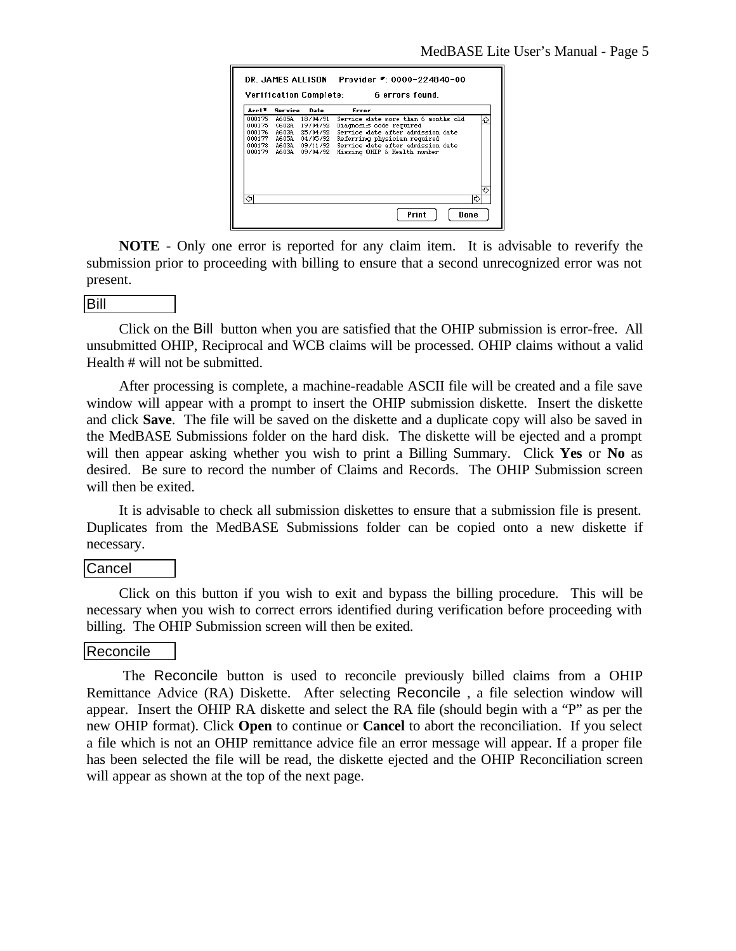|                   |         |                | Verification Complete: 6 errors found. |
|-------------------|---------|----------------|----------------------------------------|
| Acct <sup>≢</sup> | Service | Date           | Error                                  |
| 000175            | A605A   | 18/04/91       | Service date more than 6 months old    |
| 000175            | C602A   | 19/04/92       | Diagnosis code required                |
| 000176            |         | A603A 25/04/92 | Service date after admission date      |
| 000177            |         | A605A 04/05/92 | Referring physician required           |
| 000178            |         | A603A 09/11/92 | Service date after admission date      |
| 000179            | A603A   | 09/04/92       | Missing OHIP & Health number           |
|                   |         |                |                                        |
|                   |         |                |                                        |
|                   |         |                |                                        |
|                   |         |                |                                        |
|                   |         |                |                                        |
|                   |         |                |                                        |
|                   |         |                | IĽ.                                    |

**NOTE** - Only one error is reported for any claim item. It is advisable to reverify the submission prior to proceeding with billing to ensure that a second unrecognized error was not present.

#### Bill

Click on the Bill button when you are satisfied that the OHIP submission is error-free. All unsubmitted OHIP, Reciprocal and WCB claims will be processed. OHIP claims without a valid Health # will not be submitted.

After processing is complete, a machine-readable ASCII file will be created and a file save window will appear with a prompt to insert the OHIP submission diskette. Insert the diskette and click **Save**. The file will be saved on the diskette and a duplicate copy will also be saved in the MedBASE Submissions folder on the hard disk. The diskette will be ejected and a prompt will then appear asking whether you wish to print a Billing Summary. Click **Yes** or **No** as desired. Be sure to record the number of Claims and Records. The OHIP Submission screen will then be exited.

It is advisable to check all submission diskettes to ensure that a submission file is present. Duplicates from the MedBASE Submissions folder can be copied onto a new diskette if necessary.

### Cancel

Click on this button if you wish to exit and bypass the billing procedure. This will be necessary when you wish to correct errors identified during verification before proceeding with billing. The OHIP Submission screen will then be exited.

### Reconcile

 The Reconcile button is used to reconcile previously billed claims from a OHIP Remittance Advice (RA) Diskette. After selecting Reconcile , a file selection window will appear. Insert the OHIP RA diskette and select the RA file (should begin with a "P" as per the new OHIP format). Click **Open** to continue or **Cancel** to abort the reconciliation. If you select a file which is not an OHIP remittance advice file an error message will appear. If a proper file has been selected the file will be read, the diskette ejected and the OHIP Reconciliation screen will appear as shown at the top of the next page.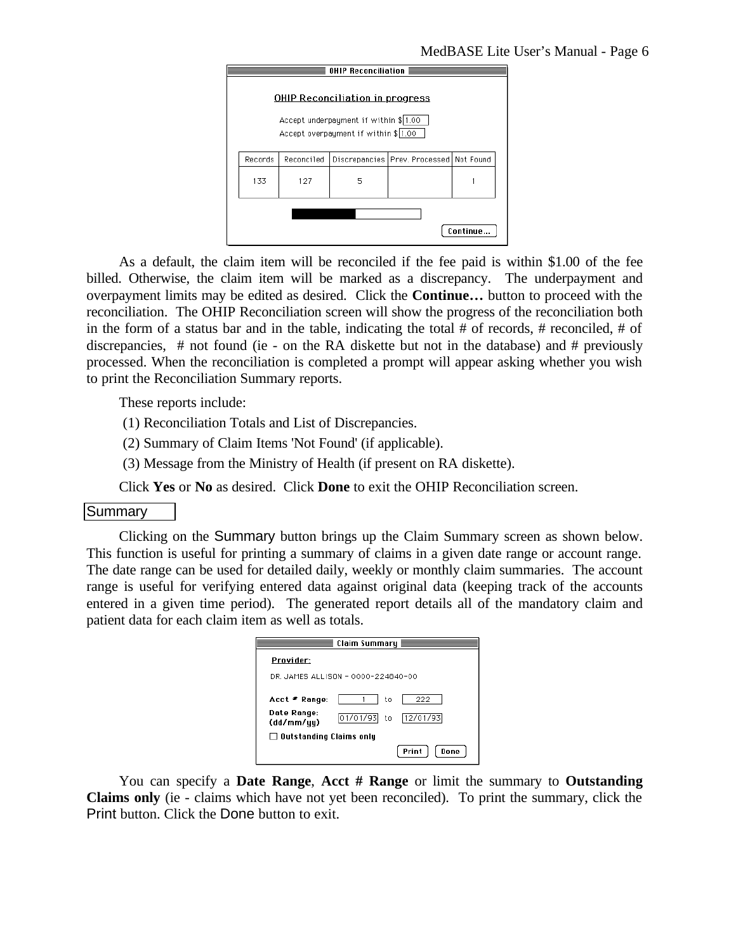

As a default, the claim item will be reconciled if the fee paid is within \$1.00 of the fee billed. Otherwise, the claim item will be marked as a discrepancy. The underpayment and overpayment limits may be edited as desired. Click the **Continue…** button to proceed with the reconciliation. The OHIP Reconciliation screen will show the progress of the reconciliation both in the form of a status bar and in the table, indicating the total # of records, # reconciled, # of discrepancies, # not found (ie - on the RA diskette but not in the database) and # previously processed. When the reconciliation is completed a prompt will appear asking whether you wish to print the Reconciliation Summary reports.

These reports include:

(1) Reconciliation Totals and List of Discrepancies.

(2) Summary of Claim Items 'Not Found' (if applicable).

(3) Message from the Ministry of Health (if present on RA diskette).

Click **Yes** or **No** as desired. Click **Done** to exit the OHIP Reconciliation screen.

### Summary

Clicking on the Summary button brings up the Claim Summary screen as shown below. This function is useful for printing a summary of claims in a given date range or account range. The date range can be used for detailed daily, weekly or monthly claim summaries. The account range is useful for verifying entered data against original data (keeping track of the accounts entered in a given time period). The generated report details all of the mandatory claim and patient data for each claim item as well as totals.

|                           | Claim Summary $\equiv$             |               |
|---------------------------|------------------------------------|---------------|
| Provider:                 |                                    |               |
|                           | DR. JAMES ALLISON - 0000-224840-00 |               |
| Acct * Range:             | to                                 | 222           |
| Date Range:<br>(dd/mm/yy) | 01/01/93<br>to.                    | 12/01/93      |
| Outstanding Claims only   |                                    |               |
|                           |                                    | Print<br>Done |

You can specify a **Date Range**, **Acct # Range** or limit the summary to **Outstanding Claims only** (ie - claims which have not yet been reconciled). To print the summary, click the Print button. Click the Done button to exit.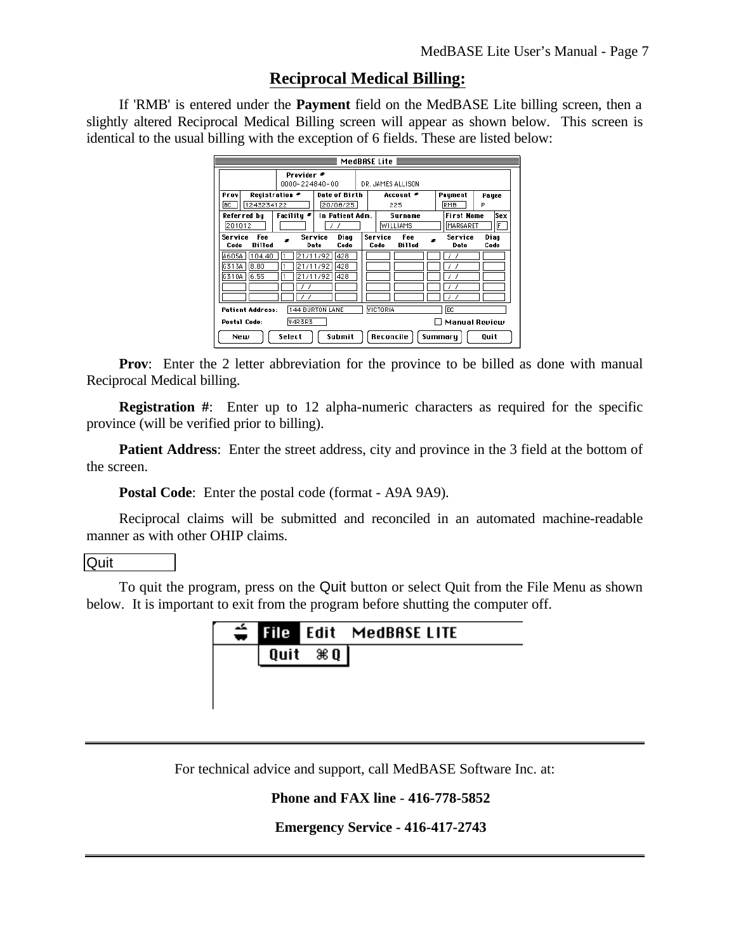## **Reciprocal Medical Billing:**

If 'RMB' is entered under the **Payment** field on the MedBASE Lite billing screen, then a slightly altered Reciprocal Medical Billing screen will appear as shown below. This screen is identical to the usual billing with the exception of 6 fields. These are listed below:

| Provider <sup>≢</sup><br>0000-224840-00            |                                                                                                  |                                                          |  | DR. JAMES ALLISON                       |                                      |              |
|----------------------------------------------------|--------------------------------------------------------------------------------------------------|----------------------------------------------------------|--|-----------------------------------------|--------------------------------------|--------------|
| <b>Registration *</b><br>Prov<br>1243234122<br> BC |                                                                                                  | Date of Birth<br>20/08/25                                |  | Account *<br>225                        | Payment<br>RMB                       | Payee<br>P   |
| Referred bu<br>201012                              | Facilitu *                                                                                       | In Patient Adm.<br>,<br>- 7                              |  | Surname<br><b>WILLIAMS</b>              | <b>First Name</b><br><b>MARGARET</b> | lSex<br>F    |
| Service<br>Fee<br><b>Billed</b><br>Code            |                                                                                                  | Diaq<br>Service<br>Code<br>Date                          |  | Service<br>Fee<br><b>Billed</b><br>Code | Service<br>Date                      | Diag<br>Code |
| A605A<br>104.40<br>8.80<br>G313A<br>G310A<br>6.55  |                                                                                                  | 21/11/92<br>428<br>21/11/92 l<br>428<br>21/11/92<br>1428 |  |                                         |                                      |              |
|                                                    |                                                                                                  |                                                          |  |                                         |                                      |              |
| <b>Postal Code:</b>                                | VICTORIA<br>lBC.<br>144 BURTON LANE<br><b>Patient Address:</b><br>V4R3R3<br><b>Manual Review</b> |                                                          |  |                                         |                                      |              |
| New                                                | Submit<br>Select                                                                                 |                                                          |  |                                         | Summary                              | Quit         |

**Prov**: Enter the 2 letter abbreviation for the province to be billed as done with manual Reciprocal Medical billing.

**Registration #:** Enter up to 12 alpha-numeric characters as required for the specific province (will be verified prior to billing).

**Patient Address:** Enter the street address, city and province in the 3 field at the bottom of the screen.

**Postal Code**: Enter the postal code (format - A9A 9A9).

Reciprocal claims will be submitted and reconciled in an automated machine-readable manner as with other OHIP claims.

## **Quit**

To quit the program, press on the Quit button or select Quit from the File Menu as shown below. It is important to exit from the program before shutting the computer off.



For technical advice and support, call MedBASE Software Inc. at:

## **Phone and FAX line** - **416-778-5852**

**Emergency Service - 416-417-2743**